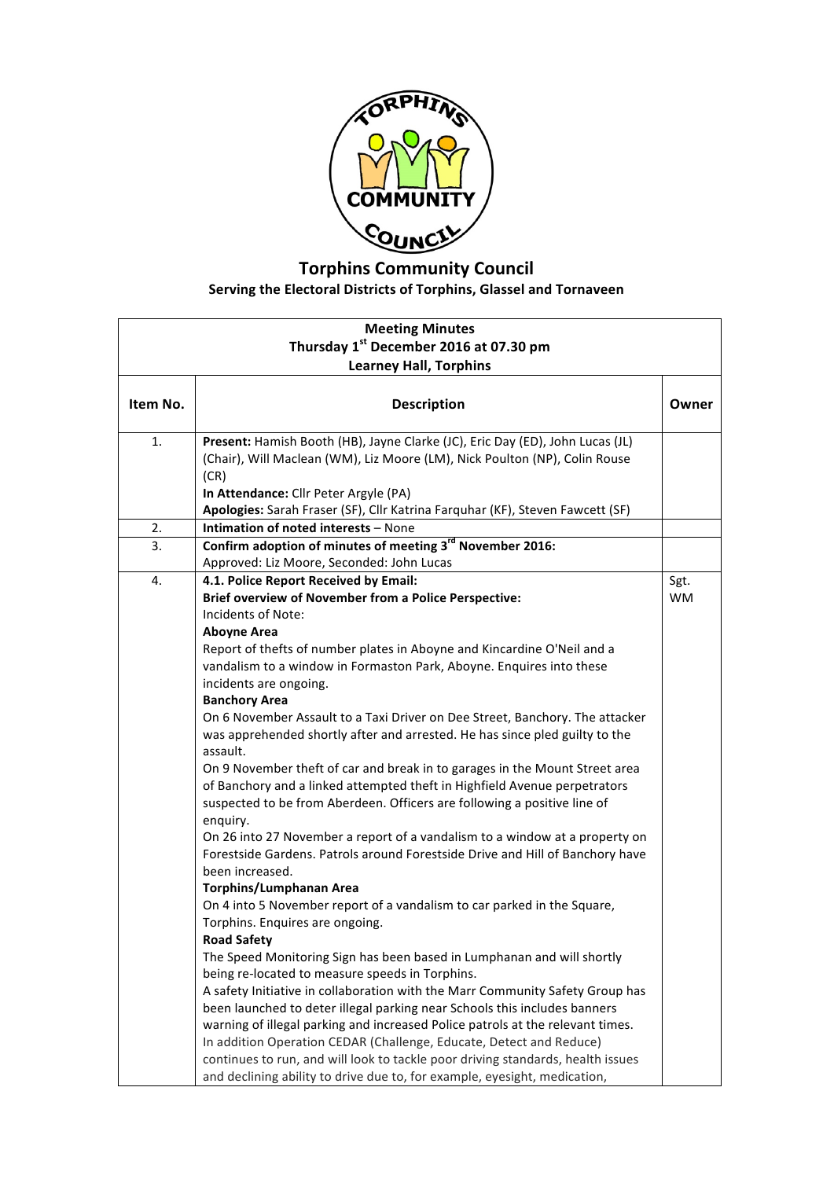

## **Torphins Community Council** Serving the Electoral Districts of Torphins, Glassel and Tornaveen

| <b>Meeting Minutes</b><br>Thursday 1 <sup>st</sup> December 2016 at 07.30 pm |                                                                                                            |           |  |  |
|------------------------------------------------------------------------------|------------------------------------------------------------------------------------------------------------|-----------|--|--|
|                                                                              |                                                                                                            |           |  |  |
| Item No.                                                                     | <b>Description</b>                                                                                         | Owner     |  |  |
| 1.                                                                           | Present: Hamish Booth (HB), Jayne Clarke (JC), Eric Day (ED), John Lucas (JL)                              |           |  |  |
|                                                                              | (Chair), Will Maclean (WM), Liz Moore (LM), Nick Poulton (NP), Colin Rouse<br>(CR)                         |           |  |  |
|                                                                              | In Attendance: Cllr Peter Argyle (PA)                                                                      |           |  |  |
|                                                                              | Apologies: Sarah Fraser (SF), Cllr Katrina Farquhar (KF), Steven Fawcett (SF)                              |           |  |  |
| 2.                                                                           | Intimation of noted interests - None                                                                       |           |  |  |
| 3.                                                                           | Confirm adoption of minutes of meeting 3 <sup>rd</sup> November 2016:                                      |           |  |  |
|                                                                              | Approved: Liz Moore, Seconded: John Lucas                                                                  |           |  |  |
| 4.                                                                           | 4.1. Police Report Received by Email:                                                                      | Sgt.      |  |  |
|                                                                              | <b>Brief overview of November from a Police Perspective:</b>                                               | <b>WM</b> |  |  |
|                                                                              | Incidents of Note:                                                                                         |           |  |  |
|                                                                              | <b>Aboyne Area</b>                                                                                         |           |  |  |
|                                                                              | Report of thefts of number plates in Aboyne and Kincardine O'Neil and a                                    |           |  |  |
|                                                                              | vandalism to a window in Formaston Park, Aboyne. Enquires into these                                       |           |  |  |
|                                                                              | incidents are ongoing.                                                                                     |           |  |  |
|                                                                              | <b>Banchory Area</b>                                                                                       |           |  |  |
|                                                                              | On 6 November Assault to a Taxi Driver on Dee Street, Banchory. The attacker                               |           |  |  |
|                                                                              | was apprehended shortly after and arrested. He has since pled guilty to the                                |           |  |  |
|                                                                              | assault.                                                                                                   |           |  |  |
|                                                                              | On 9 November theft of car and break in to garages in the Mount Street area                                |           |  |  |
|                                                                              | of Banchory and a linked attempted theft in Highfield Avenue perpetrators                                  |           |  |  |
|                                                                              | suspected to be from Aberdeen. Officers are following a positive line of                                   |           |  |  |
|                                                                              | enquiry.                                                                                                   |           |  |  |
|                                                                              | On 26 into 27 November a report of a vandalism to a window at a property on                                |           |  |  |
|                                                                              | Forestside Gardens. Patrols around Forestside Drive and Hill of Banchory have                              |           |  |  |
|                                                                              | been increased.                                                                                            |           |  |  |
|                                                                              | <b>Torphins/Lumphanan Area</b>                                                                             |           |  |  |
|                                                                              | On 4 into 5 November report of a vandalism to car parked in the Square,<br>Torphins. Enquires are ongoing. |           |  |  |
|                                                                              | <b>Road Safety</b>                                                                                         |           |  |  |
|                                                                              | The Speed Monitoring Sign has been based in Lumphanan and will shortly                                     |           |  |  |
|                                                                              | being re-located to measure speeds in Torphins.                                                            |           |  |  |
|                                                                              | A safety Initiative in collaboration with the Marr Community Safety Group has                              |           |  |  |
|                                                                              | been launched to deter illegal parking near Schools this includes banners                                  |           |  |  |
|                                                                              | warning of illegal parking and increased Police patrols at the relevant times.                             |           |  |  |
|                                                                              | In addition Operation CEDAR (Challenge, Educate, Detect and Reduce)                                        |           |  |  |
|                                                                              | continues to run, and will look to tackle poor driving standards, health issues                            |           |  |  |
|                                                                              | and declining ability to drive due to, for example, eyesight, medication,                                  |           |  |  |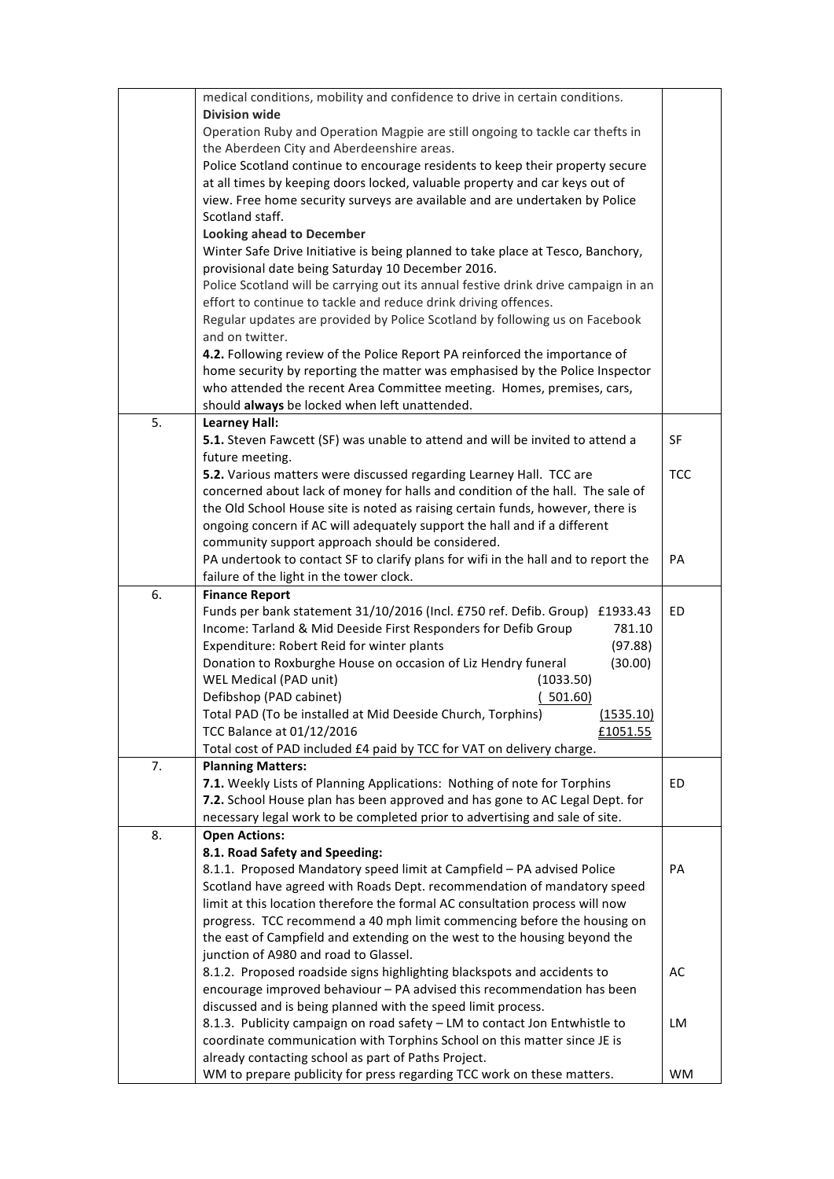|    | medical conditions, mobility and confidence to drive in certain conditions.                                                                                      |            |
|----|------------------------------------------------------------------------------------------------------------------------------------------------------------------|------------|
|    | <b>Division wide</b>                                                                                                                                             |            |
|    | Operation Ruby and Operation Magpie are still ongoing to tackle car thefts in                                                                                    |            |
|    | the Aberdeen City and Aberdeenshire areas.                                                                                                                       |            |
|    | Police Scotland continue to encourage residents to keep their property secure                                                                                    |            |
|    | at all times by keeping doors locked, valuable property and car keys out of                                                                                      |            |
|    | view. Free home security surveys are available and are undertaken by Police                                                                                      |            |
|    | Scotland staff.                                                                                                                                                  |            |
|    | <b>Looking ahead to December</b>                                                                                                                                 |            |
|    | Winter Safe Drive Initiative is being planned to take place at Tesco, Banchory,                                                                                  |            |
|    | provisional date being Saturday 10 December 2016.                                                                                                                |            |
|    | Police Scotland will be carrying out its annual festive drink drive campaign in an                                                                               |            |
|    | effort to continue to tackle and reduce drink driving offences.                                                                                                  |            |
|    | Regular updates are provided by Police Scotland by following us on Facebook                                                                                      |            |
|    | and on twitter.                                                                                                                                                  |            |
|    | 4.2. Following review of the Police Report PA reinforced the importance of                                                                                       |            |
|    | home security by reporting the matter was emphasised by the Police Inspector                                                                                     |            |
|    | who attended the recent Area Committee meeting. Homes, premises, cars,                                                                                           |            |
|    | should always be locked when left unattended.                                                                                                                    |            |
| 5. | <b>Learney Hall:</b>                                                                                                                                             |            |
|    | 5.1. Steven Fawcett (SF) was unable to attend and will be invited to attend a                                                                                    | SF         |
|    | future meeting.                                                                                                                                                  |            |
|    | 5.2. Various matters were discussed regarding Learney Hall. TCC are                                                                                              | <b>TCC</b> |
|    | concerned about lack of money for halls and condition of the hall. The sale of<br>the Old School House site is noted as raising certain funds, however, there is |            |
|    | ongoing concern if AC will adequately support the hall and if a different                                                                                        |            |
|    | community support approach should be considered.                                                                                                                 |            |
|    | PA undertook to contact SF to clarify plans for wifi in the hall and to report the                                                                               | PA         |
|    | failure of the light in the tower clock.                                                                                                                         |            |
| 6. | <b>Finance Report</b>                                                                                                                                            |            |
|    | Funds per bank statement 31/10/2016 (Incl. £750 ref. Defib. Group) £1933.43                                                                                      | ED         |
|    | Income: Tarland & Mid Deeside First Responders for Defib Group<br>781.10                                                                                         |            |
|    | Expenditure: Robert Reid for winter plants<br>(97.88)                                                                                                            |            |
|    | Donation to Roxburghe House on occasion of Liz Hendry funeral<br>(30.00)                                                                                         |            |
|    | WEL Medical (PAD unit)<br>(1033.50)                                                                                                                              |            |
|    | (501.60)<br>Defibshop (PAD cabinet)                                                                                                                              |            |
|    | (1535.10)<br>Total PAD (To be installed at Mid Deeside Church, Torphins)                                                                                         |            |
|    | TCC Balance at 01/12/2016<br>£1051.55                                                                                                                            |            |
|    | Total cost of PAD included £4 paid by TCC for VAT on delivery charge.                                                                                            |            |
| 7. | <b>Planning Matters:</b>                                                                                                                                         |            |
|    | 7.1. Weekly Lists of Planning Applications: Nothing of note for Torphins                                                                                         | ED         |
|    | 7.2. School House plan has been approved and has gone to AC Legal Dept. for                                                                                      |            |
|    | necessary legal work to be completed prior to advertising and sale of site.                                                                                      |            |
| 8. | <b>Open Actions:</b>                                                                                                                                             |            |
|    | 8.1. Road Safety and Speeding:                                                                                                                                   |            |
|    | 8.1.1. Proposed Mandatory speed limit at Campfield - PA advised Police                                                                                           | PA         |
|    | Scotland have agreed with Roads Dept. recommendation of mandatory speed                                                                                          |            |
|    | limit at this location therefore the formal AC consultation process will now                                                                                     |            |
|    | progress. TCC recommend a 40 mph limit commencing before the housing on                                                                                          |            |
|    | the east of Campfield and extending on the west to the housing beyond the                                                                                        |            |
|    | junction of A980 and road to Glassel.<br>8.1.2. Proposed roadside signs highlighting blackspots and accidents to                                                 | AC         |
|    | encourage improved behaviour - PA advised this recommendation has been                                                                                           |            |
|    | discussed and is being planned with the speed limit process.                                                                                                     |            |
|    | 8.1.3. Publicity campaign on road safety - LM to contact Jon Entwhistle to                                                                                       | LM         |
|    | coordinate communication with Torphins School on this matter since JE is                                                                                         |            |
|    |                                                                                                                                                                  |            |
|    |                                                                                                                                                                  |            |
|    | already contacting school as part of Paths Project.<br>WM to prepare publicity for press regarding TCC work on these matters.                                    | WM         |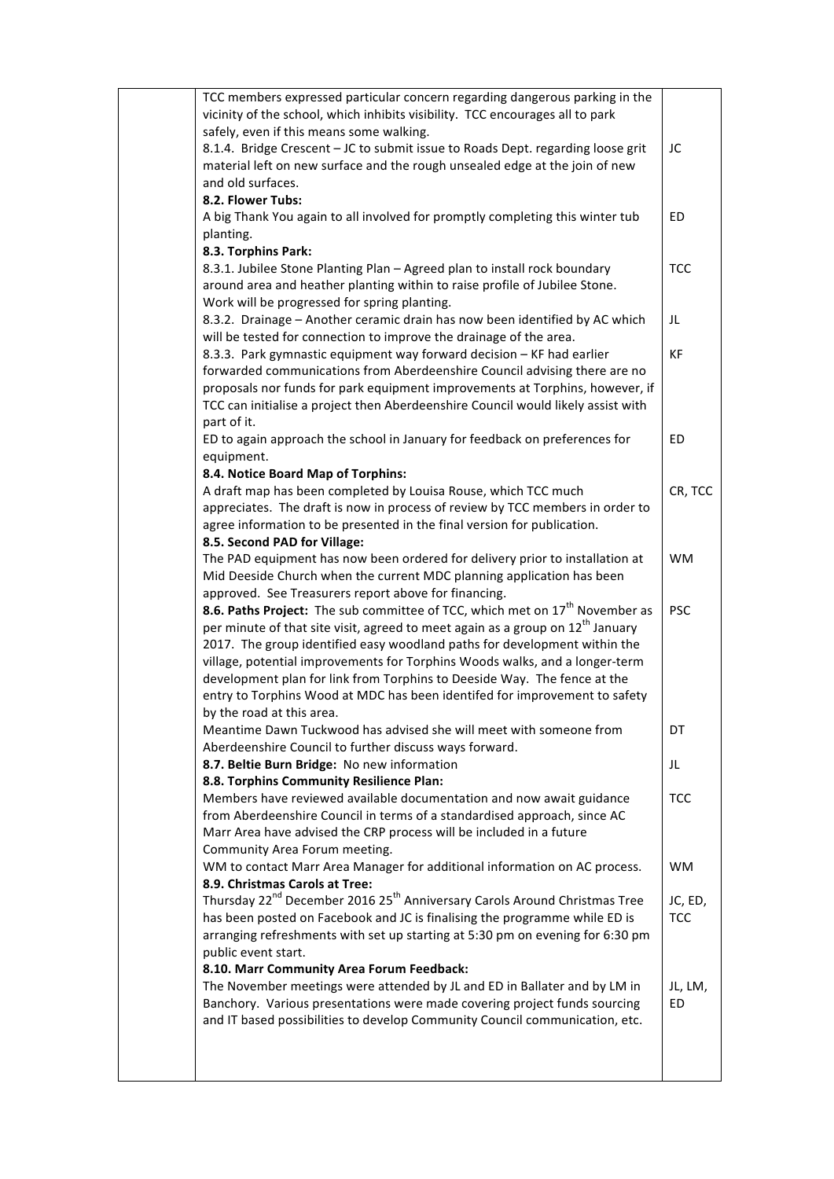| TCC members expressed particular concern regarding dangerous parking in the                       |            |
|---------------------------------------------------------------------------------------------------|------------|
| vicinity of the school, which inhibits visibility. TCC encourages all to park                     |            |
| safely, even if this means some walking.                                                          |            |
| 8.1.4. Bridge Crescent - JC to submit issue to Roads Dept. regarding loose grit                   | JC         |
| material left on new surface and the rough unsealed edge at the join of new                       |            |
| and old surfaces.                                                                                 |            |
| 8.2. Flower Tubs:                                                                                 |            |
|                                                                                                   |            |
| A big Thank You again to all involved for promptly completing this winter tub                     | ED         |
| planting.                                                                                         |            |
| 8.3. Torphins Park:                                                                               |            |
| 8.3.1. Jubilee Stone Planting Plan - Agreed plan to install rock boundary                         | <b>TCC</b> |
| around area and heather planting within to raise profile of Jubilee Stone.                        |            |
| Work will be progressed for spring planting.                                                      |            |
| 8.3.2. Drainage - Another ceramic drain has now been identified by AC which                       | JL         |
| will be tested for connection to improve the drainage of the area.                                |            |
| 8.3.3. Park gymnastic equipment way forward decision - KF had earlier                             | KF         |
| forwarded communications from Aberdeenshire Council advising there are no                         |            |
| proposals nor funds for park equipment improvements at Torphins, however, if                      |            |
| TCC can initialise a project then Aberdeenshire Council would likely assist with                  |            |
| part of it.                                                                                       |            |
| ED to again approach the school in January for feedback on preferences for                        | <b>ED</b>  |
| equipment.                                                                                        |            |
| 8.4. Notice Board Map of Torphins:                                                                |            |
| A draft map has been completed by Louisa Rouse, which TCC much                                    | CR, TCC    |
| appreciates. The draft is now in process of review by TCC members in order to                     |            |
| agree information to be presented in the final version for publication.                           |            |
| 8.5. Second PAD for Village:                                                                      |            |
| The PAD equipment has now been ordered for delivery prior to installation at                      | <b>WM</b>  |
| Mid Deeside Church when the current MDC planning application has been                             |            |
|                                                                                                   |            |
| approved. See Treasurers report above for financing.                                              | <b>PSC</b> |
| 8.6. Paths Project: The sub committee of TCC, which met on 17 <sup>th</sup> November as           |            |
| per minute of that site visit, agreed to meet again as a group on $12^{th}$ January               |            |
| 2017. The group identified easy woodland paths for development within the                         |            |
| village, potential improvements for Torphins Woods walks, and a longer-term                       |            |
| development plan for link from Torphins to Deeside Way. The fence at the                          |            |
| entry to Torphins Wood at MDC has been identifed for improvement to safety                        |            |
| by the road at this area.                                                                         |            |
| Meantime Dawn Tuckwood has advised she will meet with someone from                                | DT         |
| Aberdeenshire Council to further discuss ways forward.                                            |            |
| 8.7. Beltie Burn Bridge: No new information                                                       | JL         |
| 8.8. Torphins Community Resilience Plan:                                                          |            |
| Members have reviewed available documentation and now await guidance                              | <b>TCC</b> |
| from Aberdeenshire Council in terms of a standardised approach, since AC                          |            |
| Marr Area have advised the CRP process will be included in a future                               |            |
| Community Area Forum meeting.                                                                     |            |
| WM to contact Marr Area Manager for additional information on AC process.                         | WM         |
| 8.9. Christmas Carols at Tree:                                                                    |            |
| Thursday 22 <sup>nd</sup> December 2016 25 <sup>th</sup> Anniversary Carols Around Christmas Tree | JC, ED,    |
| has been posted on Facebook and JC is finalising the programme while ED is                        | <b>TCC</b> |
| arranging refreshments with set up starting at 5:30 pm on evening for 6:30 pm                     |            |
| public event start.                                                                               |            |
| 8.10. Marr Community Area Forum Feedback:                                                         |            |
| The November meetings were attended by JL and ED in Ballater and by LM in                         | JL, LM,    |
| Banchory. Various presentations were made covering project funds sourcing                         | ED.        |
| and IT based possibilities to develop Community Council communication, etc.                       |            |
|                                                                                                   |            |
|                                                                                                   |            |
|                                                                                                   |            |
|                                                                                                   |            |